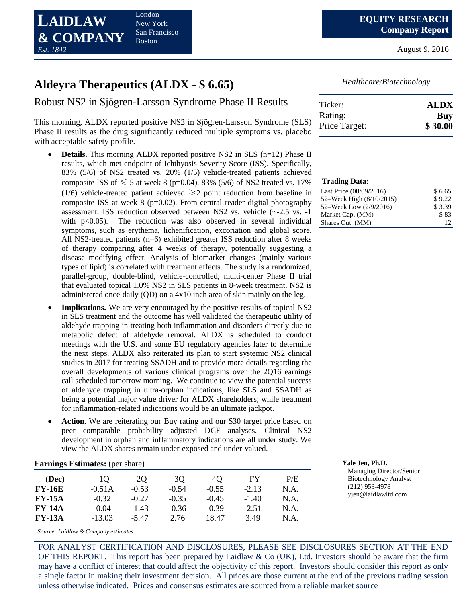

August 9, 2016

# **Aldeyra Therapeutics (ALDX - \$ 6.65)**

Robust NS2 in Sjӧgren-Larsson Syndrome Phase II Results

This morning, ALDX reported positive NS2 in Sjӧgren-Larsson Syndrome (SLS) Phase II results as the drug significantly reduced multiple symptoms vs. placebo with acceptable safety profile.

- **Details.** This morning ALDX reported positive NS2 in SLS (n=12) Phase II results, which met endpoint of Ichthyosis Severity Score (ISS). Specifically, 83% (5/6) of NS2 treated vs. 20% (1/5) vehicle-treated patients achieved composite ISS of  $\leq 5$  at week 8 (p=0.04). 83% (5/6) of NS2 treated vs. 17% (1/6) vehicle-treated patient achieved  $\geq 2$  point reduction from baseline in composite ISS at week  $8$  (p=0.02). From central reader digital photography assessment, ISS reduction observed between NS2 vs. vehicle (~-2.5 vs. -1 with  $p<0.05$ ). The reduction was also observed in several individual symptoms, such as erythema, lichenification, excoriation and global score. All NS2-treated patients (n=6) exhibited greater ISS reduction after 8 weeks of therapy comparing after 4 weeks of therapy, potentially suggesting a disease modifying effect. Analysis of biomarker changes (mainly various types of lipid) is correlated with treatment effects. The study is a randomized, parallel-group, double-blind, vehicle-controlled, multi-center Phase II trial that evaluated topical 1.0% NS2 in SLS patients in 8-week treatment. NS2 is administered once-daily (QD) on a 4x10 inch area of skin mainly on the leg.
- **Implications.** We are very encouraged by the positive results of topical NS2 in SLS treatment and the outcome has well validated the therapeutic utility of aldehyde trapping in treating both inflammation and disorders directly due to metabolic defect of aldehyde removal. ALDX is scheduled to conduct meetings with the U.S. and some EU regulatory agencies later to determine the next steps. ALDX also reiterated its plan to start systemic NS2 clinical studies in 2017 for treating SSADH and to provide more details regarding the overall developments of various clinical programs over the 2Q16 earnings call scheduled tomorrow morning. We continue to view the potential success of aldehyde trapping in ultra-orphan indications, like SLS and SSADH as being a potential major value driver for ALDX shareholders; while treatment for inflammation-related indications would be an ultimate jackpot.
- **Action.** We are reiterating our Buy rating and our \$30 target price based on peer comparable probability adjusted DCF analyses. Clinical NS2 development in orphan and inflammatory indications are all under study. We view the ALDX shares remain under-exposed and under-valued.

| (Dec)         |          | 20      | 30      | 40      | FY      | P/E  |
|---------------|----------|---------|---------|---------|---------|------|
| <b>FY-16E</b> | $-0.51A$ | $-0.53$ | $-0.54$ | $-0.55$ | $-2.13$ | N.A. |
| <b>FY-15A</b> | $-0.32$  | $-0.27$ | $-0.35$ | $-0.45$ | $-1.40$ | N.A. |
| <b>FY-14A</b> | $-0.04$  | $-1.43$ | $-0.36$ | $-0.39$ | $-2.51$ | N.A. |
| <b>FY-13A</b> | $-13.03$ | -5 47   | 2.76    | 18.47   | 3.49    | N.A. |

*Source: Laidlaw & Company estimates*

FOR ANALYST CERTIFICATION AND DISCLOSURES, PLEASE SEE DISCLOSURES SECTION AT THE END OF THIS REPORT. This report has been prepared by Laidlaw & Co (UK), Ltd. Investors should be aware that the firm may have a conflict of interest that could affect the objectivity of this report. Investors should consider this report as only a single factor in making their investment decision. All prices are those current at the end of the previous trading session unless otherwise indicated. Prices and consensus estimates are sourced from a reliable market source

*Healthcare/Biotechnology*

| Ticker:       | <b>ALDX</b> |
|---------------|-------------|
| Rating:       | Buy         |
| Price Target: | \$30.00     |

| <b>Trading Data:</b>     |        |
|--------------------------|--------|
| Last Price (08/09/2016)  | \$6.65 |
| 52–Week High (8/10/2015) | \$9.22 |
| 52–Week Low (2/9/2016)   | \$3.39 |
| Market Cap. (MM)         | \$83   |
| Shares Out. (MM)         |        |

**Earnings Estimates:** (per share) **Yale Jen, Ph.D.**

Managing Director/Senior Biotechnology Analyst (212) 953-4978 yjen@laidlawltd.com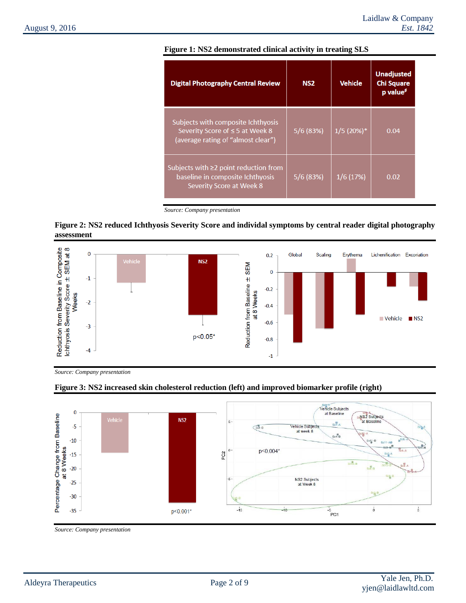| <b>Digital Photography Central Review</b>                                                                   | NS <sub>2</sub> | <b>Vehicle</b> | <b>Unadjusted</b><br><b>Chi Square</b><br>p value <sup>\$</sup> |  |
|-------------------------------------------------------------------------------------------------------------|-----------------|----------------|-----------------------------------------------------------------|--|
| Subjects with composite Ichthyosis<br>Severity Score of ≤ 5 at Week 8<br>(average rating of "almost clear") | 5/6(83%)        | $1/5(20%)$ *   | 0.04                                                            |  |
| Subjects with $\geq 2$ point reduction from<br>baseline in composite Ichthyosis<br>Severity Score at Week 8 | 5/6(83%)        | 1/6(17%)       | 0.02                                                            |  |

### **Figure 1: NS2 demonstrated clinical activity in treating SLS**

### **Figure 2: NS2 reduced Ichthyosis Severity Score and individal symptoms by central reader digital photography assessment**



*Source: Company presentation*



## **Figure 3: NS2 increased skin cholesterol reduction (left) and improved biomarker profile (right)**

*Source: Company presentation*

*Source: Company presentation*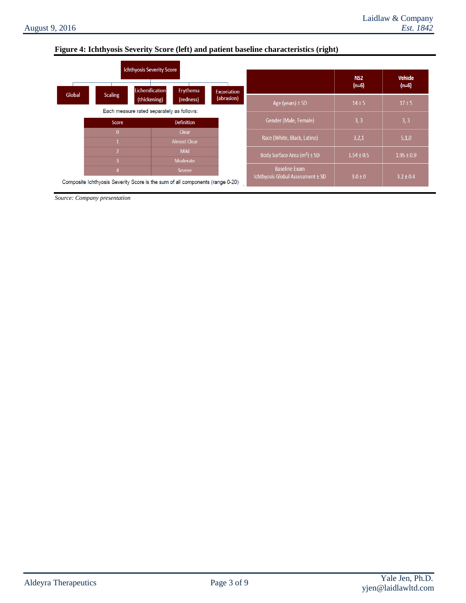## **Figure 4: Ichthyosis Severity Score (left) and patient baseline characteristics (right)**

|        |                | <b>Ichthyosis Severity Score</b>                                              |                    |                                   | NS <sub>2</sub> | <b>Vehicle</b> |  |
|--------|----------------|-------------------------------------------------------------------------------|--------------------|-----------------------------------|-----------------|----------------|--|
|        |                | Lichenification<br>Erythema                                                   | <b>Excoriation</b> |                                   | $(n=6)$         | $(n=6)$        |  |
| Global | <b>Scaling</b> | (thickening)<br>(redness)                                                     | (abrasion)         | Age (years) $\pm$ SD              | $14 \pm 5$      | $17 \pm 5$     |  |
|        |                | Each measure rated separately as follows:                                     |                    |                                   |                 |                |  |
|        | <b>Score</b>   | <b>Definition</b>                                                             |                    | Gender (Male, Female)             | 3, 3            | 3, 3           |  |
|        | $\mathbf{0}$   | Clear                                                                         |                    |                                   |                 |                |  |
|        |                | <b>Almost Clear</b>                                                           |                    | Race (White, Black, Latino)       | 3,2,1           | 5,1,0          |  |
|        | $\sqrt{2}$     | <b>Mild</b>                                                                   |                    | Body Surface Area $(m^2) \pm SD$  | $1.54 \pm 0.5$  | $1.95 \pm 0.9$ |  |
|        | $\overline{3}$ | Moderate                                                                      |                    |                                   |                 |                |  |
|        | 4<br>Severe    |                                                                               |                    | <b>Baseline Exam</b>              |                 |                |  |
|        |                | Composite Ichthyosis Severity Score is the sum of all components (range 0-20) |                    | Ichthyosis Global Assessment ± SD | $3.0 \pm 0$     | $3.2 \pm 0.4$  |  |

*Source: Company presentation*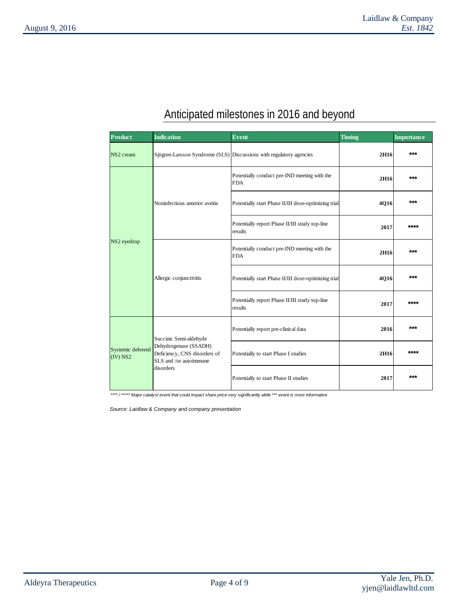# Anticipated milestones in 2016 and beyond

| <b>Product</b>                  | <b>Indication</b>                                                               | <b>Event</b>                                                        | <b>Timing</b> | <b>Importance</b> |
|---------------------------------|---------------------------------------------------------------------------------|---------------------------------------------------------------------|---------------|-------------------|
| NS <sub>2</sub> cream           |                                                                                 | Sjögren-Larsson Syndrome (SLS) Discussions with regulatory agencies | 2H16          | $***$             |
|                                 |                                                                                 | Potentially conduct pre-IND meeting with the<br><b>FDA</b>          | 2H16          | $***$             |
|                                 | Noninfectious anterior uveitis                                                  | Potentially start Phase II/III dose-optimizing trial                | 4Q16          | $***$             |
|                                 |                                                                                 | Potentially report Phase II/III study top-line<br>results           | 2017          | ****              |
| NS2 eyedrop                     |                                                                                 | Potentially conduct pre-IND meeting with the<br><b>FDA</b>          | 2H16          | $***$             |
|                                 | Allergic conjunctivitis                                                         | Potentially start Phase II/III dose-optimizing trial                | 4Q16          | $***$             |
|                                 |                                                                                 | Potentially report Phase II/III study top-line<br>results           | 2017          | ****              |
| Systemic delvered<br>$(IV)$ NS2 | Succinic Semi-aldehyde                                                          | Potentially report pre-clinical data                                | 2016          | ***               |
|                                 | Dehydrogenase (SSADH)<br>Deficiency, CNS disorders of<br>SLS and /or autoimmune | Potentially to start Phase I studies                                | 2H16          | ****              |
|                                 | disorders                                                                       | Potentially to start Phase II studies                               | 2017          | $***$             |

*\*\*\*\* / \*\*\*\*\* Major catalyst event that could impact share price very significantly while \*\*\* event is more informative* 

*Source: Laidlaw & Company and company presentation*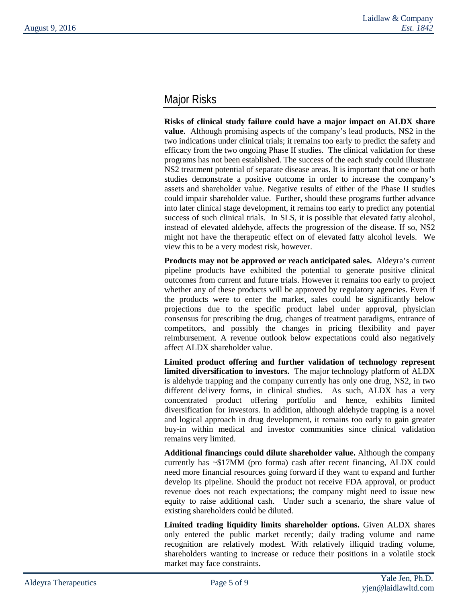# Major Risks

**Risks of clinical study failure could have a major impact on ALDX share value.** Although promising aspects of the company's lead products, NS2 in the two indications under clinical trials; it remains too early to predict the safety and efficacy from the two ongoing Phase II studies. The clinical validation for these programs has not been established. The success of the each study could illustrate NS2 treatment potential of separate disease areas. It is important that one or both studies demonstrate a positive outcome in order to increase the company's assets and shareholder value. Negative results of either of the Phase II studies could impair shareholder value. Further, should these programs further advance into later clinical stage development, it remains too early to predict any potential success of such clinical trials. In SLS, it is possible that elevated fatty alcohol, instead of elevated aldehyde, affects the progression of the disease. If so, NS2 might not have the therapeutic effect on of elevated fatty alcohol levels. We view this to be a very modest risk, however.

**Products may not be approved or reach anticipated sales.** Aldeyra's current pipeline products have exhibited the potential to generate positive clinical outcomes from current and future trials. However it remains too early to project whether any of these products will be approved by regulatory agencies. Even if the products were to enter the market, sales could be significantly below projections due to the specific product label under approval, physician consensus for prescribing the drug, changes of treatment paradigms, entrance of competitors, and possibly the changes in pricing flexibility and payer reimbursement. A revenue outlook below expectations could also negatively affect ALDX shareholder value.

**Limited product offering and further validation of technology represent limited diversification to investors.** The major technology platform of ALDX is aldehyde trapping and the company currently has only one drug, NS2, in two different delivery forms, in clinical studies. As such, ALDX has a very concentrated product offering portfolio and hence, exhibits limited diversification for investors. In addition, although aldehyde trapping is a novel and logical approach in drug development, it remains too early to gain greater buy-in within medical and investor communities since clinical validation remains very limited.

**Additional financings could dilute shareholder value.** Although the company currently has ~\$17MM (pro forma) cash after recent financing, ALDX could need more financial resources going forward if they want to expand and further develop its pipeline. Should the product not receive FDA approval, or product revenue does not reach expectations; the company might need to issue new equity to raise additional cash. Under such a scenario, the share value of existing shareholders could be diluted.

**Limited trading liquidity limits shareholder options.** Given ALDX shares only entered the public market recently; daily trading volume and name recognition are relatively modest. With relatively illiquid trading volume, shareholders wanting to increase or reduce their positions in a volatile stock market may face constraints.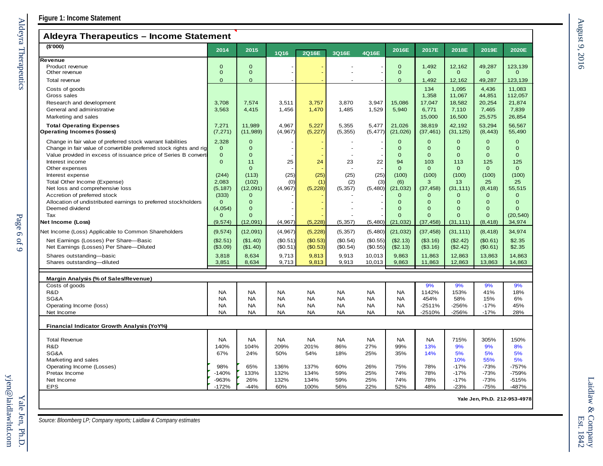# **Aldeyra Therapeutics – Income Statement**

| $A$ ldevia Therapeutics – income Statement                         |                  |                |              |              |            |            |                |                |                  |                              |                  |
|--------------------------------------------------------------------|------------------|----------------|--------------|--------------|------------|------------|----------------|----------------|------------------|------------------------------|------------------|
| (\$'000)                                                           | 2014             | 2015           | <b>1Q16</b>  | 2Q16E        | 3Q16E      | 4Q16E      | 2016E          | 2017E          | 2018E            | 2019E                        | 2020E            |
| Revenue                                                            |                  |                |              |              |            |            |                |                |                  |                              |                  |
| Product revenue                                                    | $\mathbf{O}$     | $\overline{0}$ |              |              |            |            | $\mathbf{O}$   | 1.492          | 12,162           | 49,287                       | 123,139          |
| Other revenue                                                      | $\mathbf 0$      | $\mathbf 0$    |              |              |            |            | $\mathbf 0$    | $\mathbf{O}$   | $\mathbf{O}$     | $\mathbf 0$                  | $\mathbf{0}$     |
| Total revenue                                                      | $\Omega$         | $\Omega$       |              |              |            |            | $\overline{0}$ | 1,492          | 12,162           | 49,287                       | 123,139          |
| Costs of goods                                                     |                  |                |              |              |            |            |                | 134            | 1,095            | 4,436                        | 11,083           |
| Gross sales                                                        |                  |                |              |              |            |            |                | 1,358          | 11,067           | 44,851                       | 112,057          |
| Research and development                                           | 3,708            | 7,574          | 3,511        | 3,757        | 3,870      | 3,947      | 15,086         | 17,047         | 18,582           | 20,254                       | 21,874           |
| General and administrative                                         | 3,563            | 4,415          | 1,456        | 1,470        | 1,485      | 1,529      | 5,940          | 6,771          | 7,110            | 7,465                        | 7,839            |
| Marketing and sales                                                |                  |                |              |              |            |            |                | 15,000         | 16,500           | 25,575                       | 26,854           |
| <b>Total Operating Expenses</b>                                    | 7,271            | 11,989         | 4,967        | 5,227        | 5,355      | 5,477      | 21,026         | 38,819         | 42,192           | 53,294                       | 56,567           |
| <b>Operating Incomes (losses)</b>                                  | (7, 271)         | (11, 989)      | (4, 967)     | (5, 227)     | (5, 355)   | (5, 477)   | (21, 026)      | (37, 461)      | (31, 125)        | (8, 443)                     | 55,490           |
| Change in fair value of preferred stock warrant liabilities        | 2,328            | $\mathbf{O}$   |              |              |            |            | $\mathbf{O}$   | $\mathbf{O}$   | $\mathbf{O}$     | $\Omega$                     | $\mathbf{0}$     |
| Change in fair value of convertible preferred stock rights and rig | $\mathbf 0$      | $\overline{0}$ |              |              |            |            | $\mathbf{O}$   | $\overline{0}$ | $\overline{0}$   | $\mathbf{O}$                 | $\Omega$         |
| Value provided in excess of issuance price of Series B convert     | $\mathbf{O}$     | $\overline{0}$ |              |              |            |            | $\mathbf{O}$   | $\overline{0}$ | $\Omega$         | $\mathbf{O}$                 | $\mathbf{O}$     |
| Interest income                                                    | $\mathbf{O}$     | 11             | 25           | 24           | 23         | 22         | 94             | 103            | 113              | 125                          | 125              |
| Other expenses                                                     |                  | $\mathbf{O}$   |              |              |            |            | $\mathbf{O}$   | $\mathbf{O}$   | $\mathbf{O}$     | $\mathbf{0}$                 | $\overline{0}$   |
| Interest expense                                                   | (244)            | (113)          | (25)         | (25)         | (25)       | (25)       | (100)          | (100)          | (100)            | (100)                        | (100)            |
| Total Other Income (Expense)                                       | 2,083            | (102)          | (0)          | (1)          | (2)        | (3)        | (6)            | 3              | 13               | 25                           | 25               |
| Net loss and comprehensive loss                                    | (5, 187)         | (12,091)       | (4, 967)     | (5, 228)     | (5, 357)   | (5,480)    | (21, 032)      | (37, 458)      | (31, 111)        | (8, 418)                     | 55,515           |
| Accretion of preferred stock                                       | (333)            | $\Omega$       |              |              |            |            | $\mathbf{0}$   | $\mathbf{O}$   | $\mathbf{O}$     | $\mathbf{O}$                 | $\mathbf{0}$     |
| Allocation of undistributed earnings to preferred stockholders     | $\Omega$         | $\Omega$       |              |              |            |            | $\Omega$       | $\Omega$       | $\overline{0}$   | $\Omega$                     | $\Omega$         |
| Deemed dividend                                                    | (4,054)          | $\mathbf 0$    |              |              |            |            | $\mathbf 0$    | $\mathbf 0$    | 0                | $\mathbf{O}$                 | $\Omega$         |
| Tax                                                                | $\mathbf{0}$     | $\Omega$       |              |              |            |            | $\Omega$       | $\Omega$       | $\Omega$         | $\Omega$                     | (20, 540)        |
| <b>Net Income (Loss)</b>                                           | (9, 574)         | (12,091)       | (4, 967)     | (5, 228)     | (5, 357)   | (5,480)    | (21, 032)      | (37, 458)      | (31, 111)        | (8, 418)                     | 34,974           |
| Net Income (Loss) Applicable to Common Shareholders                | (9, 574)         | (12,091)       | (4, 967)     | (5, 228)     | (5, 357)   | (5,480)    | (21, 032)      | (37, 458)      | (31, 111)        | (8, 418)                     | 34,974           |
| Net Earnings (Losses) Per Share-Basic                              | (\$2.51)         | (\$1.40)       | (\$0.51)     | (\$0.53)     | (\$0.54)   | (\$0.55)   | (\$2.13)       | (\$3.16)       | (\$2.42)         | (\$0.61)                     | \$2.35           |
| Net Earnings (Losses) Per Share-Diluted                            | (\$3.09)         | (\$1.40)       | (\$0.51)     | (\$0.53)     | (\$0.54)   | (\$0.55)   | (\$2.13)       | (\$3.16)       | (\$2.42)         | (\$0.61)                     | \$2.35           |
| Shares outstanding-basic                                           | 3,818            | 8,634          | 9,713        | 9,813        | 9,913      | 10,013     | 9,863          | 11,863         | 12,863           | 13,863                       | 14,863           |
| Shares outstanding-diluted                                         | 3,851            | 8,634          | 9,713        | 9,813        | 9,913      | 10,013     | 9,863          | 11,863         | 12,863           | 13,863                       | 14,863           |
|                                                                    |                  |                |              |              |            |            |                |                |                  |                              |                  |
| Margin Analysis (% of Sales/Revenue)<br>Costs of goods             |                  |                |              |              |            |            |                | 9%             | 9%               | 9%                           | 9%               |
| R&D                                                                | <b>NA</b>        | <b>NA</b>      | <b>NA</b>    | <b>NA</b>    | <b>NA</b>  | <b>NA</b>  | <b>NA</b>      | 1142%          | 153%             | 41%                          | 18%              |
| SG&A                                                               | <b>NA</b>        | <b>NA</b>      | <b>NA</b>    | <b>NA</b>    | <b>NA</b>  | <b>NA</b>  | <b>NA</b>      | 454%           | 58%              | 15%                          | 6%               |
| Operating Income (loss)                                            | <b>NA</b>        | <b>NA</b>      | <b>NA</b>    | <b>NA</b>    | <b>NA</b>  | <b>NA</b>  | <b>NA</b>      | $-2511%$       | $-256%$          | $-17%$                       | 45%              |
| Net Income                                                         | <b>NA</b>        | <b>NA</b>      | <b>NA</b>    | <b>NA</b>    | <b>NA</b>  | <b>NA</b>  | <b>NA</b>      | -2510%         | $-256%$          | $-17%$                       | 28%              |
| Financial Indicator Growth Analysis (YoY%)                         |                  |                |              |              |            |            |                |                |                  |                              |                  |
|                                                                    |                  |                |              |              |            |            |                |                |                  |                              |                  |
| <b>Total Revenue</b>                                               | <b>NA</b>        | <b>NA</b>      | NA           | <b>NA</b>    | <b>NA</b>  | <b>NA</b>  | <b>NA</b>      | <b>NA</b>      | 715%             | 305%                         | 150%             |
| R&D                                                                | 140%             | 104%           | 209%         | 201%         | 86%        | 27%        | 99%            | 13%            | 9%               | 9%                           | 8%               |
| SG&A                                                               | 67%              | 24%            | 50%          | 54%          | 18%        | 25%        | 35%            | 14%            | 5%               | 5%                           | 5%               |
| Marketing and sales                                                |                  |                |              |              |            |            |                |                | 10%              | 55%                          | 5%               |
| Operating Income (Losses)                                          | 98%              | 65%            | 136%         | 137%         | 60%        | 26%        | 75%            | 78%            | $-17%$           | $-73%$                       | $-757%$          |
| Pretax Income<br>Net Income                                        | $-140%$<br>-963% | 133%<br>26%    | 132%<br>132% | 134%<br>134% | 59%<br>59% | 25%<br>25% | 74%<br>74%     | 78%<br>78%     | $-17%$<br>$-17%$ | $-73%$<br>$-73%$             | -759%<br>$-515%$ |
|                                                                    | $-172%$          |                |              | 100%         |            |            |                | 48%            |                  |                              |                  |
| <b>EPS</b>                                                         |                  | $-44%$         | 60%          |              | 56%        | 22%        | 52%            |                | $-23%$           | $-75%$                       | -487%            |
|                                                                    |                  |                |              |              |            |            |                |                |                  | Yale Jen. Ph.D. 212-953-4978 |                  |

Page 6

of 9

Aldeyra Therapeutics

Aldeyra Therapeutics

*Source: Bloomberg LP; Company reports; Laidlaw & Company estimates*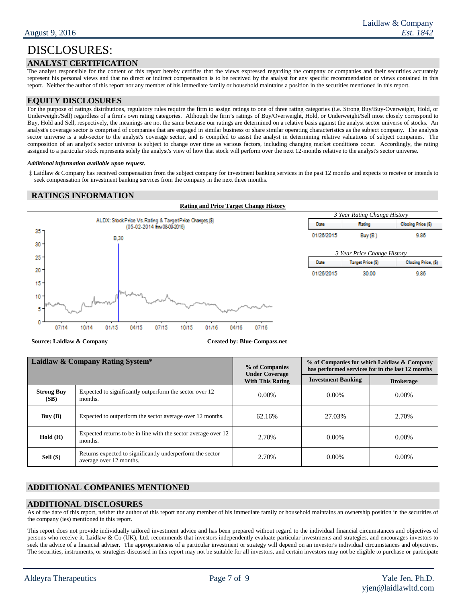# **ANALYST CERTIFICATION**

The analyst responsible for the content of this report hereby certifies that the views expressed regarding the company or companies and their securities accurately represent his personal views and that no direct or indirect compensation is to be received by the analyst for any specific recommendation or views contained in this report. Neither the author of this report nor any member of his immediate family or household maintains a position in the securities mentioned in this report.

### **EQUITY DISCLOSURES**

For the purpose of ratings distributions, regulatory rules require the firm to assign ratings to one of three rating categories (i.e. Strong Buy/Buy-Overweight, Hold, or Underweight/Sell) regardless of a firm's own rating categories. Although the firm's ratings of Buy/Overweight, Hold, or Underweight/Sell most closely correspond to Buy, Hold and Sell, respectively, the meanings are not the same because our ratings are determined on a relative basis against the analyst sector universe of stocks. An analyst's coverage sector is comprised of companies that are engaged in similar business or share similar operating characteristics as the subject company. The analysis sector universe is a sub-sector to the analyst's coverage sector, and is compiled to assist the analyst in determining relative valuations of subject companies. The composition of an analyst's sector universe is subject to change over time as various factors, including changing market conditions occur. Accordingly, the rating assigned to a particular stock represents solely the analyst's view of how that stock will perform over the next 12-months relative to the analyst's sector universe.

#### *Additional information available upon request.*

‡ Laidlaw & Company has received compensation from the subject company for investment banking services in the past 12 months and expects to receive or intends to seek compensation for investment banking services from the company in the next three months.

### **RATINGS INFORMATION**



**Source: Laidlaw & Company <b>Created by: Blue-Compass.net** 

| Laidlaw & Company Rating System* |                                                                                      | % of Companies<br><b>Under Coverage</b> | % of Companies for which Laidlaw & Company<br>has performed services for in the last 12 months |                  |  |
|----------------------------------|--------------------------------------------------------------------------------------|-----------------------------------------|------------------------------------------------------------------------------------------------|------------------|--|
|                                  |                                                                                      | <b>With This Rating</b>                 | <b>Investment Banking</b>                                                                      | <b>Brokerage</b> |  |
| <b>Strong Buy</b><br>(SB)        | Expected to significantly outperform the sector over 12<br>months.                   | $0.00\%$                                | $0.00\%$                                                                                       | $0.00\%$         |  |
| Buy $(B)$                        | Expected to outperform the sector average over 12 months.                            | 62.16%                                  | 27.03%                                                                                         | 2.70%            |  |
| Hold(H)                          | Expected returns to be in line with the sector average over 12<br>months.            | 2.70%                                   | $0.00\%$                                                                                       | $0.00\%$         |  |
| Sell (S)                         | Returns expected to significantly underperform the sector<br>average over 12 months. | 2.70%                                   | $0.00\%$                                                                                       | $0.00\%$         |  |

# **ADDITIONAL COMPANIES MENTIONED**

### **ADDITIONAL DISCLOSURES**

As of the date of this report, neither the author of this report nor any member of his immediate family or household maintains an ownership position in the securities of the company (ies) mentioned in this report.

This report does not provide individually tailored investment advice and has been prepared without regard to the individual financial circumstances and objectives of persons who receive it. Laidlaw & Co (UK), Ltd. recommends that investors independently evaluate particular investments and strategies, and encourages investors to seek the advice of a financial adviser. The appropriateness of a particular investment or strategy will depend on an investor's individual circumstances and objectives. The securities, instruments, or strategies discussed in this report may not be suitable for all investors, and certain investors may not be eligible to purchase or participate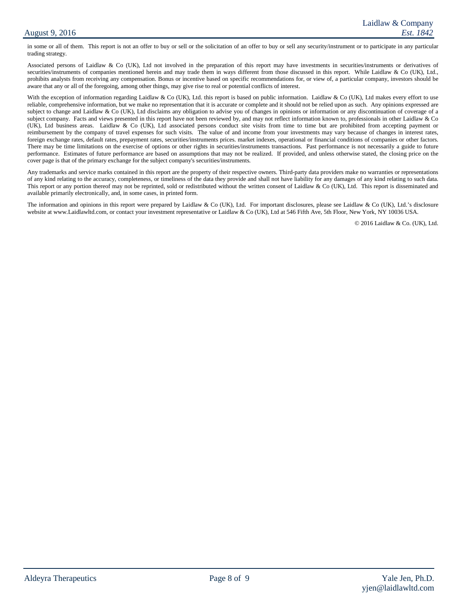in some or all of them. This report is not an offer to buy or sell or the solicitation of an offer to buy or sell any security/instrument or to participate in any particular trading strategy.

Associated persons of Laidlaw & Co (UK), Ltd not involved in the preparation of this report may have investments in securities/instruments or derivatives of securities/instruments of companies mentioned herein and may trade them in ways different from those discussed in this report. While Laidlaw & Co (UK), Ltd., prohibits analysts from receiving any compensation. Bonus or incentive based on specific recommendations for, or view of, a particular company, investors should be aware that any or all of the foregoing, among other things, may give rise to real or potential conflicts of interest.

With the exception of information regarding Laidlaw & Co (UK), Ltd. this report is based on public information. Laidlaw & Co (UK), Ltd makes every effort to use reliable, comprehensive information, but we make no representation that it is accurate or complete and it should not be relied upon as such. Any opinions expressed are subject to change and Laidlaw & Co (UK), Ltd disclaims any obligation to advise you of changes in opinions or information or any discontinuation of coverage of a subject company. Facts and views presented in this report have not been reviewed by, and may not reflect information known to, professionals in other Laidlaw & Co (UK), Ltd business areas. Laidlaw & Co (UK), Ltd associated persons conduct site visits from time to time but are prohibited from accepting payment or reimbursement by the company of travel expenses for such visits. The value of and income from your investments may vary because of changes in interest rates, foreign exchange rates, default rates, prepayment rates, securities/instruments prices. market indexes, operational or financial conditions of companies or other factors. There may be time limitations on the exercise of options or other rights in securities/instruments transactions. Past performance is not necessarily a guide to future performance. Estimates of future performance are based on assumptions that may not be realized. If provided, and unless otherwise stated, the closing price on the cover page is that of the primary exchange for the subject company's securities/instruments.

Any trademarks and service marks contained in this report are the property of their respective owners. Third-party data providers make no warranties or representations of any kind relating to the accuracy, completeness, or timeliness of the data they provide and shall not have liability for any damages of any kind relating to such data. This report or any portion thereof may not be reprinted, sold or redistributed without the written consent of Laidlaw & Co (UK), Ltd. This report is disseminated and available primarily electronically, and, in some cases, in printed form.

The information and opinions in this report were prepared by Laidlaw & Co (UK), Ltd. For important disclosures, please see Laidlaw & Co (UK), Ltd.'s disclosure website at www.Laidlawltd.com, or contact your investment representative or Laidlaw & Co (UK), Ltd at 546 Fifth Ave, 5th Floor, New York, NY 10036 USA.

© 2016 Laidlaw & Co. (UK), Ltd.